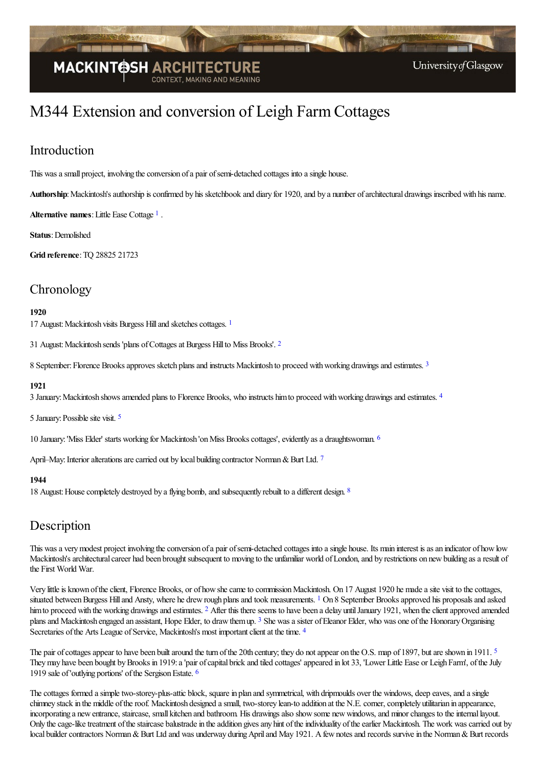

# M344 Extension and conversion of Leigh FarmCottages

# Introduction

This was a small project, involving the conversion of a pair of semi-detached cottages into a single house.

Authorship: Mackintosh's authorship is confirmed by his sketchbook and diary for 1920, and by a number of architectural drawings inscribed with his name.

<span id="page-0-0"></span>**Alternative names**:Little Ease Cottage [1](#page-1-0) .

**Status**: Demolished

**Grid reference**:TQ 28825 21723

### **Chronology**

#### **1920**

<span id="page-0-2"></span><span id="page-0-1"></span>[1](#page-2-0)7 August: Mackintosh visits Burgess Hill and sketches cottages. <sup>1</sup>

31 August: Mackintosh sends 'plans of Cottages at Burgess Hill to Miss Brooks'. <sup>[2](#page-2-1)</sup>

<span id="page-0-3"></span>8 September: Florence Brooks approves sketch plans and instructs Mackintosh to proceed with working drawings and estimates. [3](#page-2-2)

#### **1921**

<span id="page-0-4"></span>3 January: Mackintosh shows amended plans to Florence Brooks, who instructs him to proceed with working drawings and estimates. <sup>[4](#page-2-3)</sup>

<span id="page-0-5"></span>[5](#page-2-4) January: Possible site visit. <sup>5</sup>

<span id="page-0-7"></span><span id="page-0-6"></span>10 January: 'Miss Elder' starts working for Mackintosh 'on Miss Brooks cottages', evidently as a draughtswoman. <sup>[6](#page-2-5)</sup>

April–May: Interior alterations are carried out by local building contractor Norman & Burt Ltd. [7](#page-2-6)

#### <span id="page-0-8"></span>**1944**

1[8](#page-2-7) August: House completely destroyed by a flying bomb, and subsequently rebuilt to a different design. <sup>8</sup>

### **Description**

This was a very modest project involving the conversion of a pair of semi-detached cottages into a single house. Its main interest is as an indicator of how low Mackintosh's architectural career had been brought subsequent to moving to the unfamiliar world of London, and by restrictions on new building as a result of the First World War.

<span id="page-0-11"></span><span id="page-0-10"></span><span id="page-0-9"></span>Very little is known of the client, Florence Brooks, or of how she came to commission Mackintosh. On 17 August 1920 he made a site visit to the cottages, situated between Burgess Hill and Ansty, where he drew rough plans and took measurements. <sup>[1](#page-2-8)</sup> On 8 September Brooks approved his proposals and asked him to proceed with the working drawings and estimates. <sup>[2](#page-2-9)</sup> After this there seems to have been a delay until January 1921, when the client approved amended plans and Mackintosh engaged an assistant, Hope Elder, to draw themup. <sup>[3](#page-2-10)</sup> She was a sister of Eleanor Elder, who was one of the Honorary Organising Secretaries of the Arts League of Service, Mackintosh's most important client at the time. <sup>[4](#page-2-11)</sup>

<span id="page-0-14"></span><span id="page-0-13"></span><span id="page-0-12"></span>The pair of cottages appear to have been built around the turn of the 20th century; they do not appear on the O.S. map of 1897, but are shown in 1911. <sup>[5](#page-2-12)</sup> They may have been bought by Brooks in 1919: a 'pair of capital brick and tiled cottages' appeared in lot 33, 'Lower Little Ease or Leigh Farm', of the July 1919 sale of 'outlying portions' of the Sergison Estate. <sup>[6](#page-2-13)</sup>

The cottages formed a simple two-storey-plus-attic block, square in plan and symmetrical, with dripmoulds over the windows, deep eaves, and a single chimney stack in the middle of the roof. Mackintosh designed a small, two-storey lean-to addition at the N.E. corner, completely utilitarian in appearance, incorporating a new entrance, staircase, small kitchen and bathroom. His drawings also show some new windows, and minor changes to the internal layout. Only the cage-like treatment of the staircase balustrade in the addition gives any hint of the individuality of the earlier Mackintosh. The work was carried out by local builder contractors Norman & Burt Ltd and was underway during April and May 1921. A few notes and records survive in the Norman & Burt records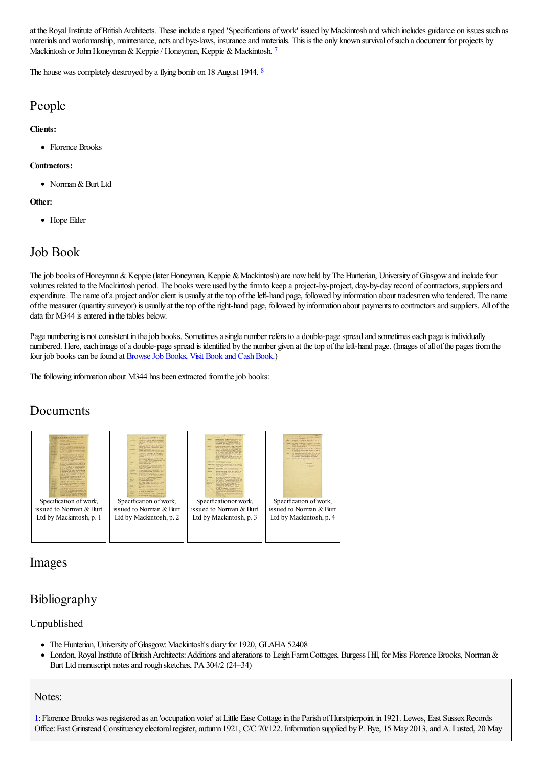at the Royal Institute of British Architects. These include a typed 'Specifications of work' issued by Mackintosh and which includes guidance on issues such as materials and workmanship, maintenance, acts and bye-laws, insurance and materials. This is the only known survival of such a document for projects by Mackintosh or John Honeyman & Keppie / Honeyman, Keppie & Mackintosh. [7](#page-2-14)

<span id="page-1-2"></span><span id="page-1-1"></span>The house was completely destroyed by a flying bomb on 1[8](#page-2-15) August 1944. <sup>8</sup>

## People

#### **Clients:**

• Florence Brooks

#### **Contractors:**

• Norman & Burt Ltd

#### **Other:**

• Hope Elder

# Job Book

The job books of Honeyman & Keppie (later Honeyman, Keppie & Mackintosh) are now held by The Hunterian, University of Glasgow and include four volumes related to the Mackintosh period. The books were used by the firm to keep a project-by-project, day-by-day record of contractors, suppliers and expenditure. The name of a project and/or client is usually at the top of the left-hand page, followed by information about tradesmen who tendered. The name ofthe measurer (quantity surveyor) is usually at thetop oftheright-hand page, followed by information about payments to contractorsand suppliers. All ofthe data for M344 is entered in the tables below.

Page numbering is not consistent in the job books. Sometimes a single number refers to a double-page spread and sometimes each page is individually numbered. Here, each image of a double-page spread is identified by the number given at the top of the left-hand page. (Images of all of the pages from the four job books can be found at **Browse Job Books**, Visit Book and Cash Book.)

The following information about M344 has been extracted from the job books:

# Documents



### Images

# Bibliography

### Unpublished

- The Hunterian, University of Glasgow: Mackintosh's diary for 1920, GLAHA 52408
- London, Royal Institute of British Architects: Additions and alterations to Leigh Farm Cottages, Burgess Hill, for Miss Florence Brooks, Norman &  $\bullet$ Burt Ltd manuscript notes and rough sketches, PA 304/2 (24–34)

### Notes:

<span id="page-1-0"></span>[1](#page-0-0): Florence Brooks was registered as an 'occupation voter' at Little Ease Cottage in the Parish of Hurstpierpoint in 1921. Lewes, East Sussex Records Office: East Grinstead Constituency electoral register, autumn 1921, C/C 70/122. Information supplied by P. Bye, 15 May 2013, and A. Lusted, 20 May